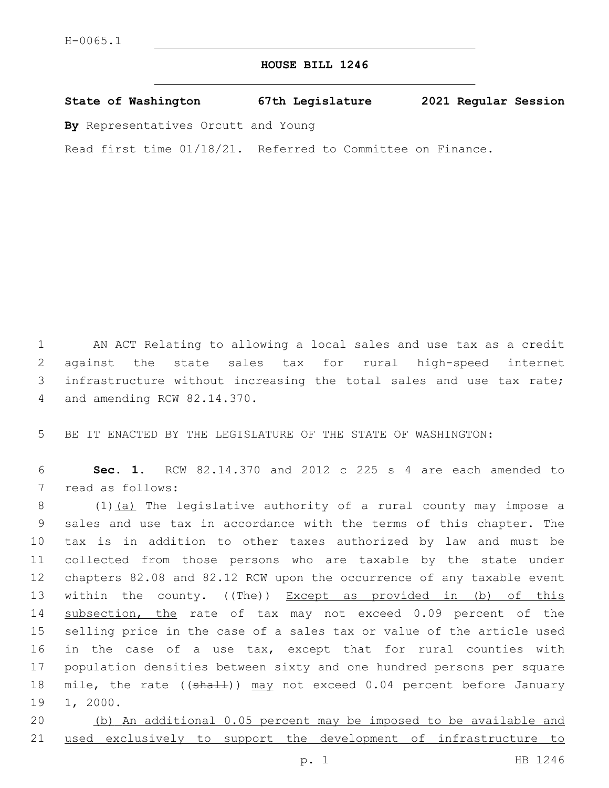## **HOUSE BILL 1246**

**State of Washington 67th Legislature 2021 Regular Session**

**By** Representatives Orcutt and Young

Read first time 01/18/21. Referred to Committee on Finance.

 AN ACT Relating to allowing a local sales and use tax as a credit against the state sales tax for rural high-speed internet infrastructure without increasing the total sales and use tax rate; 4 and amending RCW 82.14.370.

5 BE IT ENACTED BY THE LEGISLATURE OF THE STATE OF WASHINGTON:

6 **Sec. 1.** RCW 82.14.370 and 2012 c 225 s 4 are each amended to 7 read as follows:

8 (1) (a) The legislative authority of a rural county may impose a 9 sales and use tax in accordance with the terms of this chapter. The 10 tax is in addition to other taxes authorized by law and must be 11 collected from those persons who are taxable by the state under 12 chapters 82.08 and 82.12 RCW upon the occurrence of any taxable event 13 within the county. ((The)) Except as provided in (b) of this 14 subsection, the rate of tax may not exceed 0.09 percent of the 15 selling price in the case of a sales tax or value of the article used 16 in the case of a use tax, except that for rural counties with 17 population densities between sixty and one hundred persons per square 18 mile, the rate ((shall)) may not exceed 0.04 percent before January 1, 2000.

20 (b) An additional 0.05 percent may be imposed to be available and 21 used exclusively to support the development of infrastructure to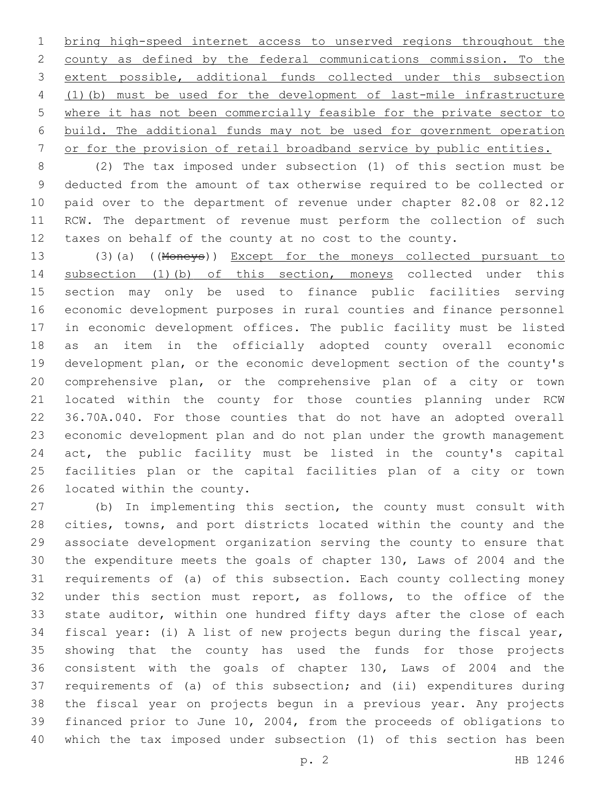bring high-speed internet access to unserved regions throughout the county as defined by the federal communications commission. To the extent possible, additional funds collected under this subsection (1)(b) must be used for the development of last-mile infrastructure where it has not been commercially feasible for the private sector to build. The additional funds may not be used for government operation or for the provision of retail broadband service by public entities.

 (2) The tax imposed under subsection (1) of this section must be deducted from the amount of tax otherwise required to be collected or paid over to the department of revenue under chapter 82.08 or 82.12 RCW. The department of revenue must perform the collection of such taxes on behalf of the county at no cost to the county.

 (3)(a) ((Moneys)) Except for the moneys collected pursuant to subsection (1)(b) of this section, moneys collected under this section may only be used to finance public facilities serving economic development purposes in rural counties and finance personnel in economic development offices. The public facility must be listed as an item in the officially adopted county overall economic development plan, or the economic development section of the county's comprehensive plan, or the comprehensive plan of a city or town located within the county for those counties planning under RCW 36.70A.040. For those counties that do not have an adopted overall economic development plan and do not plan under the growth management act, the public facility must be listed in the county's capital facilities plan or the capital facilities plan of a city or town 26 located within the county.

 (b) In implementing this section, the county must consult with cities, towns, and port districts located within the county and the associate development organization serving the county to ensure that the expenditure meets the goals of chapter 130, Laws of 2004 and the requirements of (a) of this subsection. Each county collecting money under this section must report, as follows, to the office of the state auditor, within one hundred fifty days after the close of each fiscal year: (i) A list of new projects begun during the fiscal year, showing that the county has used the funds for those projects consistent with the goals of chapter 130, Laws of 2004 and the requirements of (a) of this subsection; and (ii) expenditures during the fiscal year on projects begun in a previous year. Any projects financed prior to June 10, 2004, from the proceeds of obligations to which the tax imposed under subsection (1) of this section has been

p. 2 HB 1246